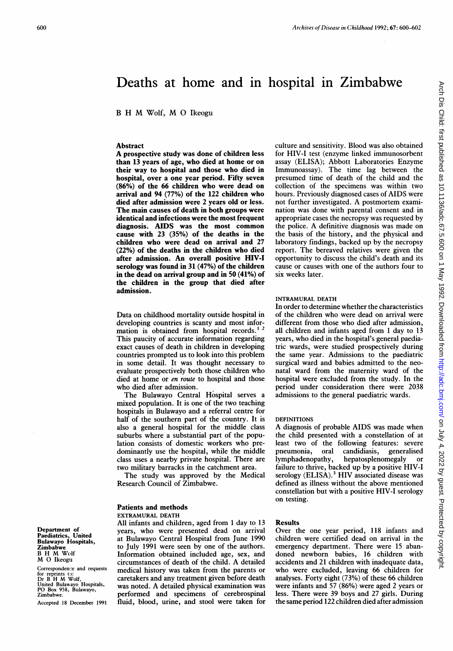# Deaths at home and in hospital in Zimbabwe

<sup>B</sup> H M Wolf, M 0 Ikeogu

### Abstract

A prospective study was done of children less than 13 years of age, who died at home or on their way to hospital and those who died in hospital, over a one year period. Fifty seven (86%) of the 66 children who were dead on arrival and 94 (77%) of the 122 children who died after admission were 2 years old or less. The main causes of death in both groups were identical and infections were the most frequent diagnosis. AIDS was the most common cause with 23 (35%) of the deaths in the children who were dead on arrival and 27 (22%) of the deaths in the children who died after admission. An overall positive HIV-I serology was found in 31 (47%) of the children in the dead on arrival group and in 50 (41%) of the children in the group that died after admission.

Data on childhood mortality outside hospital in developing countries is scanty and most information is obtained from hospital records.<sup>1</sup> This paucity of accurate information regarding exact causes of death in children in developing countries prompted us to look into this problem in some detail. It was thought necessary to evaluate prospectively both those children who died at home or *en route* to hospital and those who died after admission.

The Bulawayo Central Hospital serves <sup>a</sup> mixed population. It is one of the two teaching hospitals in Bulawayo and a referral centre for half of the southern part of the country. It is also a general hospital for the middle class suburbs where a substantial part of the population consists of domestic workers who predominantly use the hospital, while the middle class uses a nearby private hospital. There are two military barracks in the catchment area.

The study was approved by the Medical Research Council of Zimbabwe.

# Patients and methods

#### EXTRAMURAL DEATH

All infants and children, aged from <sup>1</sup> day to 13 years, who were presented dead on arrival at Bulawayo Central Hospital from June 1990 to July 1991 were seen by one of the authors. Information obtained included age, sex, and circumstances of death of the child. A detailed medical history was taken from the parents or caretakers and any treatment given before death was noted. A detailed physical examination was performed and specimens of cerebrospinal fluid, blood, urine, and stool were taken for

culture and sensitivity. Blood was also obtained for HIV-I test (enzyme linked immunosorbent assay (ELISA); Abbott Laboratories Enzyme Immunoassay). The time lag between the presumed time of death of the child and the collection of the specimens was within two hours. Previously diagnosed cases of AIDS were not further investigated. A postmortem examination was done with parental consent and in appropriate cases the necropsy was requested by the police. A definitive diagnosis was made on the basis of the history, and the physical and laboratory findings, backed up by the necropsy report. The bereaved relatives were given the opportunity to discuss the child's death and its cause or causes with one of the authors four to six weeks later.

### INTRAMURAL DEATH

In order to determine whether the characteristics of the children who were dead on arrival were different from those who died after admission, all children and infants aged from <sup>I</sup> day to 13 years, who died in the hospital's general paediatric wards, were studied prospectively during the same year. Admissions to the paediatric surgical ward and babies admitted to the neonatal ward from the maternity ward of the hospital were excluded from the study. In the period under consideration there were 2038 admissions to the general paediatric wards.

### DEFINITIONS

A diagnosis of probable AIDS was made when the child presented with a constellation of at least two of the following features: severe pneumonia, oral candidiasis, generalised lymphadenopathy, hepatosplenomegaly or failure to thrive, backed up by a positive HIV-I serology (ELISA).<sup>3</sup> HIV associated disease was defined as illness without the above mentioned constellation but with a positive HIV-I serology on testing.

#### Results

Over the one year period, 118 infants and children were certified dead on arrival in the emergency department. There were 15 abandoned newborn babies, 16 children with accidents and 21 children with inadequate data, who were excluded, leaving 66 children for analyses. Forty eight (73%) of these 66 children were infants and 57 (86%) were aged 2 years or less. There were 39 boys and 27 girls. During the same period 122 children died after admission

Department of Paediatrics, United Bulawayo Hlospitals, Zimbabwe <sup>B</sup> H M Wolf M 0 Ikeogu

Correspondence and requests for reprints t): Dr <sup>B</sup> H M Wolf, United Bulawayo Hospitals, PO Box 958, Bulawayo, Zimbabwe.

Accepted 18 December 1991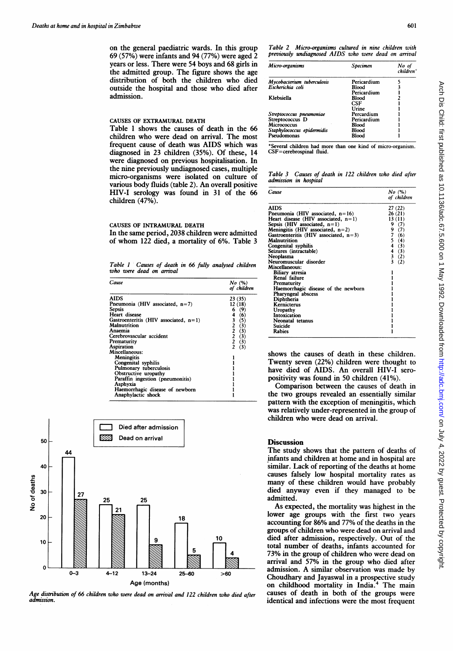on the general paediatric wards. In this group 69 (57%) were infants and 94 (77%) were aged 2 years or less. There were 54 boys and 68 girls in the admitted group. The figure shows the age distribution of both the children who died outside the hospital and those who died after admission.

#### CAUSES OF EXTRAMURAL DEATH

Table <sup>1</sup> shows the causes of death in the 66 children who were dead on arrival. The most frequent cause of death was AIDS which was diagnosed in 23 children (35%). Of these, 14 were diagnosed on previous hospitalisation. In the nine previously undiagnosed cases, multiple micro-organisms were isolated on culture of various body fluids (table 2). An overall positive HIV-I serology was found in 31 of the 66 children (47%).

#### CAUSES OF INTRAMURAL DEATH

In the same period, 2038 children were admitted of whom <sup>122</sup> died, <sup>a</sup> mortality of 6%. Table <sup>3</sup>

Table <sup>1</sup> Causes of death in 66 fully analysed children who were dead on arrival

| Cause                                    | No~(%)<br>of children                                                   |
|------------------------------------------|-------------------------------------------------------------------------|
| AIDS                                     | 23 (35)                                                                 |
| Pneumonia (HIV associated, $n=7$ )       | 12 (18)                                                                 |
| Sepsis                                   | 6 (9)                                                                   |
| Heart disease                            | 4<br>(6)                                                                |
| Gastroenteritis (HIV associated, $n=1$ ) |                                                                         |
| <b>Malnutrition</b>                      |                                                                         |
| Anaemia                                  | $\begin{array}{c} 3 & (5) \\ 2 & (3) \\ 2 & (3) \\ 2 & (3) \end{array}$ |
| Cerebrovascular accident                 |                                                                         |
| Prematurity                              | $\bar{2}$ (3)                                                           |
| Aspiration                               | (3)                                                                     |
| Miscellaneous:                           |                                                                         |
| <b>Meningitis</b>                        |                                                                         |
| Congenital syphilis                      |                                                                         |
| Pulmonary tuberculosis                   |                                                                         |
| Obstructive uropathy                     |                                                                         |
| Paraffin ingestion (pneumonitis)         |                                                                         |
| Asphyxia                                 |                                                                         |
| Haemorrhagic disease of newborn          |                                                                         |
| Anaphylactic shock                       |                                                                         |



Age distribution of 66 children who were dead on arrival and 122 children who died after admission.

| Micro-organisms            | <b>Specimen</b> | No ol<br>$children^*$ |
|----------------------------|-----------------|-----------------------|
| Mycobacterium tuberculosis | Pericardium     |                       |
| Escherichia coli           | <b>Blood</b>    |                       |
|                            | Pericardium     |                       |
| Klebsiella                 | <b>Blood</b>    |                       |
|                            | CSF             |                       |
|                            | Urine           |                       |
| Streptococcus pneumoniae   | Percardium      |                       |
| Streptococcus D            | Pericardium     |                       |
| <b>Micrococcus</b>         | Blood           |                       |
| Staphylococcus epidermidis | Blood           |                       |
| Pseudomonas                | Blood           |                       |

everal children had more than one kind of micro-organism. CSF=cerebrospinal fluid.

Table 3 Causes of death in 122 children who died after admission in hospital

| Cause                                    | $No$ $(\%)$<br>of children |
|------------------------------------------|----------------------------|
| <b>AIDS</b>                              | 27 (22)                    |
| Pneumonia (HIV associated, $n=16$ )      | 26(21)                     |
| Heart disease (HIV associated, $n=1$ )   | 13 (11)                    |
| Sepsis (HIV associated, $n=1$ )          | 9 (7)                      |
| Meningitis (HIV associated, $n=2$ )      | 9(7)                       |
| Gastroenteritis (HIV associated, $n=3$ ) | 7<br>(6)                   |
| <b>Malnutrition</b>                      | 5<br>(4)                   |
| Congenital syphilis                      | 4<br>(3)                   |
| Seizures (intractable)                   | 4<br>(3)                   |
| Neoplasma                                | $\frac{3}{3}$<br>(2)       |
| Neuromuscular disorder                   | (2)                        |
| Miscellaneous:                           |                            |
| Biliary atresia                          |                            |
| Renal failure                            |                            |
| Prematurity                              |                            |
| Haemorrhagic disease of the newborn      |                            |
| Pharyngeal abscess                       |                            |
| Diphtheria                               |                            |
| Kernicterus                              |                            |
| Uropathy                                 |                            |
| Intoxication                             |                            |
| Neonatal tetanus                         |                            |
| <b>Suicide</b>                           |                            |
| Rabies                                   |                            |

shows the causes of death in these children. Twenty seven (22%) children were thought to have died of AIDS. An overall HIV-I seropositivity was found in 50 children (41%).

Comparison between the causes of death in the two groups revealed an essentially similar pattern with the exception of meningitis, which was relatively under-represented in the group of children who were dead on arrival.

## **Discussion**

The study shows that the pattern of deaths of infants and children at home and in hospital are similar. Lack of reporting of the deaths at home causes falsely low hospital mortality rates as many of these children would have probably died anyway even if they managed to be admitted.

As expected, the mortality was highest in the lower age groups with the first two years accounting for 86% and 77% of the deaths in the groups of children who were dead on arrival and died after admission, respectively. Out of the total number of deaths, infants accounted for 73% in the group of children who were dead on arrival and 57% in the group who died after admission. A similar observation was made by Choudhary and Jayaswal in a prospective study on childhood mortality in India.4 The main causes of death in both of the groups were identical and infections were the most frequent